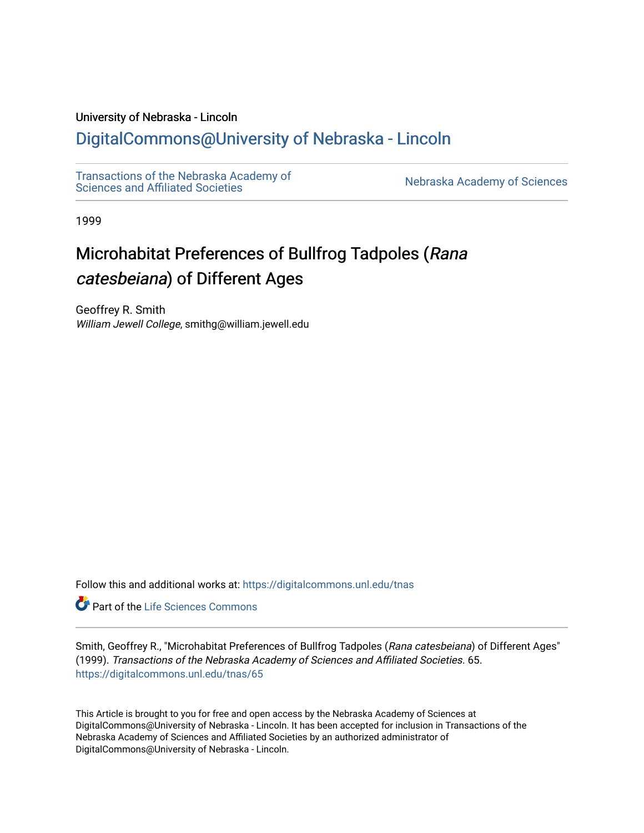# University of Nebraska - Lincoln

# [DigitalCommons@University of Nebraska - Lincoln](https://digitalcommons.unl.edu/)

[Transactions of the Nebraska Academy of](https://digitalcommons.unl.edu/tnas)  Transactions of the Nebraska Academy of Sciences<br>Sciences and Affiliated Societies

1999

# Microhabitat Preferences of Bullfrog Tadpoles (Rana catesbeiana) of Different Ages

Geoffrey R. Smith William Jewell College, smithg@william.jewell.edu

Follow this and additional works at: [https://digitalcommons.unl.edu/tnas](https://digitalcommons.unl.edu/tnas?utm_source=digitalcommons.unl.edu%2Ftnas%2F65&utm_medium=PDF&utm_campaign=PDFCoverPages) 

Part of the [Life Sciences Commons](http://network.bepress.com/hgg/discipline/1016?utm_source=digitalcommons.unl.edu%2Ftnas%2F65&utm_medium=PDF&utm_campaign=PDFCoverPages) 

Smith, Geoffrey R., "Microhabitat Preferences of Bullfrog Tadpoles (Rana catesbeiana) of Different Ages" (1999). Transactions of the Nebraska Academy of Sciences and Affiliated Societies. 65. [https://digitalcommons.unl.edu/tnas/65](https://digitalcommons.unl.edu/tnas/65?utm_source=digitalcommons.unl.edu%2Ftnas%2F65&utm_medium=PDF&utm_campaign=PDFCoverPages)

This Article is brought to you for free and open access by the Nebraska Academy of Sciences at DigitalCommons@University of Nebraska - Lincoln. It has been accepted for inclusion in Transactions of the Nebraska Academy of Sciences and Affiliated Societies by an authorized administrator of DigitalCommons@University of Nebraska - Lincoln.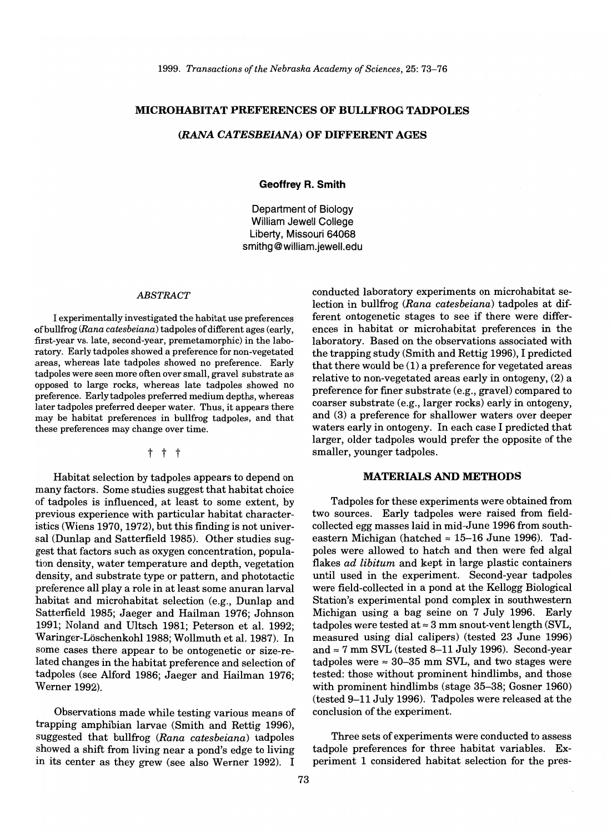### MICROHABITAT PREFERENCES OF BULLFROG TADPOLES

#### *(RANA CATESBEIANA)* OF DIFFERENT AGES

Geoffrey R. Smith

Department of Biology William Jewell College Liberty, Missouri 64068 smithg@william.jewell.edu

#### *ABSTRACT*

I experimentally investigated the habitat use preferences of bullfrog *(Rana catesbeiana)* tadpoles of different ages (early, first-year vs. late, second-year, premetamorphic) in the laboratory. Early tadpoles showed a preference for non-vegetated areas, whereas late tadpoles showed no preference. Early tadpoles were seen more often over small, gravel substrate as opposed to large rocks, whereas late tadpoles showed no preference. Early tadpoles preferred medium depths, whereas later tadpoles preferred deeper water. Thus, it appears there may be habitat preferences in bullfrog tadpoles, and that these preferences may change over time.

t t t

Habitat selection by tadpoles appears to depend on many factors. Some studies suggest that habitat choice of tadpoles is influenced, at least to some extent, by previous experience with particular habitat characteristics (Wiens 1970, 1972), but this finding is not universal (Dunlap and Satterfield 1985). Other studies suggest that factors such as oxygen concentration, population density, water temperature and depth, vegetation density, and substrate type or pattern, and phototactic preference all playa role in at least some anuran larval habitat and microhabitat selection (e.g., Dunlap and Satterfield 1985; Jaeger and Hailman 1976; Johnson 1991; Noland and Ultsch 1981; Peterson et al. 1992; Waringer-LoschenkohI1988; Wollmuth et al. 1987). In some cases there appear to be ontogenetic or size-related changes in the habitat preference and selection of tadpoles (see Alford 1986; Jaeger and Hailman 1976; Werner 1992).

Observations made while testing various means of trapping amphibian larvae (Smith and Rettig 1996), suggested that bullfrog *(Rana catesbeiana)* tadpoles showed a shift from living near a pond's edge to living in its center as they grew (see also Werner 1992). I

conducted laboratory experiments on microhabitat selection in bullfrog *(Rana catesbeiana)* tadpoles at different ontogenetic stages to see if there were differences in habitat or microhabitat preferences in the laboratory. Based on the observations associated with the trapping study (Smith and Rettig 1996), I predicted that there would be (1) a preference for vegetated areas relative to non-vegetated areas early in ontogeny, (2) a preference for finer substrate (e.g., gravel) compared to coarser substrate (e.g., larger rocks) early in ontogeny, and (3) a preference for shallower waters over deeper waters early in ontogeny. In each case I predicted that larger, older tadpoles would prefer the opposite of the smaller, younger tadpoles.

#### MATERIALS AND METHODS

Tadpoles for these experiments were obtained from two sources. Early tadpoles were raised from fieldcollected egg masses laid in mid-June 1996 from southeastern Michigan (hatched  $\approx$  15-16 June 1996). Tadpoles were allowed to hatch and then were fed algal flakes *ad libitum* and kept in large plastic containers until used in the experiment. Second-year tadpoles were field-collected in a pond at the Kellogg Biological Station's experimental pond complex in southwestern Michigan using a bag seine on 7 July 1996. Early tadpoles were tested at  $\approx 3$  mm snout-vent length (SVL, measured using dial calipers) (tested 23 June 1996) and  $\approx$  7 mm SVL (tested 8-11 July 1996). Second-year tadpoles were  $\approx 30-35$  mm SVL, and two stages were tested: those without prominent hindlimbs, and those with prominent hindlimbs (stage 35-38; Gosner 1960) (tested 9-11 July 1996). Tadpoles were released at the conclusion of the experiment.

Three sets of experiments were conducted to assess tadpole preferences for three habitat variables. Experiment 1 considered habitat selection for the pres-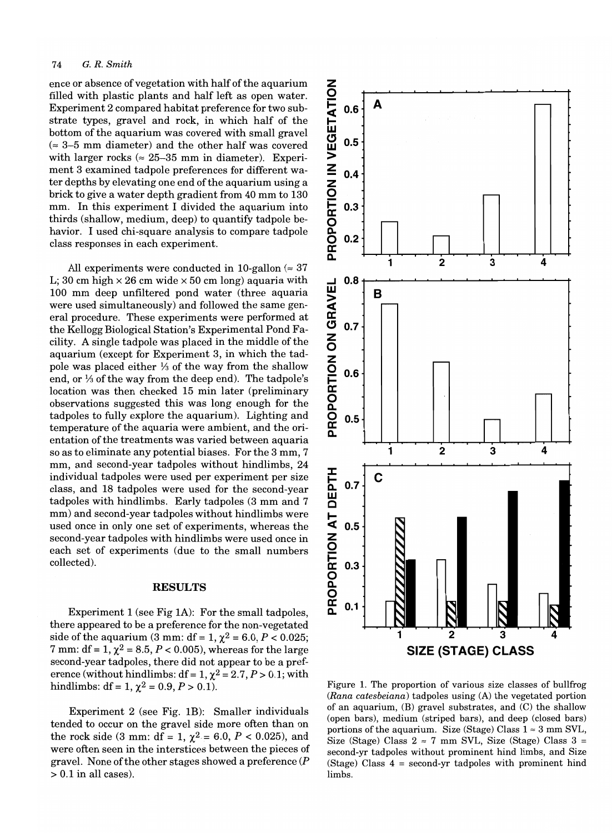#### 74 G. *R. Smith*

ence or absence of vegetation with half of the aquarium filled with plastic plants and half left as open water. Experiment 2 compared habitat preference for two substrate types, gravel and rock, in which half of the bottom of the aquarium was covered with small gravel  $($   $\approx$  3–5 mm diameter) and the other half was covered with larger rocks ( $\approx 25-35$  mm in diameter). Experiment 3 examined tadpole preferences for different water depths by elevating one end of the aquarium using a brick to give a water depth gradient from 40 mm to 130 mm. In this experiment I divided the aquarium into thirds (shallow, medium, deep) to quantify tadpole behavior. I used chi-square analysis to compare tadpole class responses in each experiment.

All experiments were conducted in 10-gallon  $\approx 37$ L; 30 cm high  $\times$  26 cm wide  $\times$  50 cm long) aquaria with 100 mm deep unfiltered pond water (three aquaria were used simultaneously) and followed the same general procedure. These experiments were performed at the Kellogg Biological Station's Experimental Pond Facility. A single tadpole was placed in the middle of the aquarium (except for Experiment 3, in which the tadpole was placed either  $\frac{1}{3}$  of the way from the shallow end, or  $\frac{1}{3}$  of the way from the deep end). The tadpole's location was then checked 15 min later (preliminary observations suggested this was long enough for the tadpoles to fully explore the aquarium). Lighting and temperature of the aquaria were ambient, and the orientation of the treatments was varied between aquaria so as to eliminate any potential biases. For the 3 mm, 7 mm, and second-year tadpoles without hindlimbs, 24 individual tadpoles were used per experiment per size class, and 18 tadpoles were used for the second-year tadpoles with hindlimbs. Early tadpoles (3 mm and 7 mm) and second-year tadpoles without hindlimbs were used once in only one set of experiments, whereas the second-year tadpoles with hindlimbs were used once in each set of experiments (due to the small numbers collected).

#### **RESULTS**

Experiment 1 (see Fig 1A): For the small tadpoles, there appeared to be a preference for the non-vegetated side of the aquarium (3 mm: df = 1,  $\chi^2$  = 6.0, *P* < 0.025; 7 mm: df = 1,  $\chi^2$  = 8.5, P < 0.005), whereas for the large second-year tadpoles, there did not appear to be a preference (without hindlimbs:  $df = 1$ ,  $\chi^2 = 2.7$ ,  $P > 0.1$ ; with hindlimbs:  $df = 1$ ,  $\chi^2 = 0.9$ ,  $P > 0.1$ ).

Experiment 2 (see Fig. 1B): Smaller individuals tended to occur on the gravel side more often than on the rock side (3 mm: df = 1,  $\chi^2$  = 6.0, P < 0.025), and were often seen in the interstices between the pieces of gravel. None of the other stages showed a preference  $(P)$ > 0.1 in all cases).



Figure 1. The proportion of various size classes of bullfrog *(Rana catesbeiana)* tadpoles using (A) the vegetated portion of an aquarium, (B) gravel substrates, and (C) the shallow (open bars), medium (striped bars), and deep (closed bars) portions of the aquarium. Size (Stage) Class  $1 \approx 3$  mm SVL, Size (Stage) Class  $2 \approx 7$  mm SVL, Size (Stage) Class  $3 =$ second-yr tadpoles without prominent hind limbs, and Size (Stage) Class  $4 =$  second-yr tadpoles with prominent hind limbs.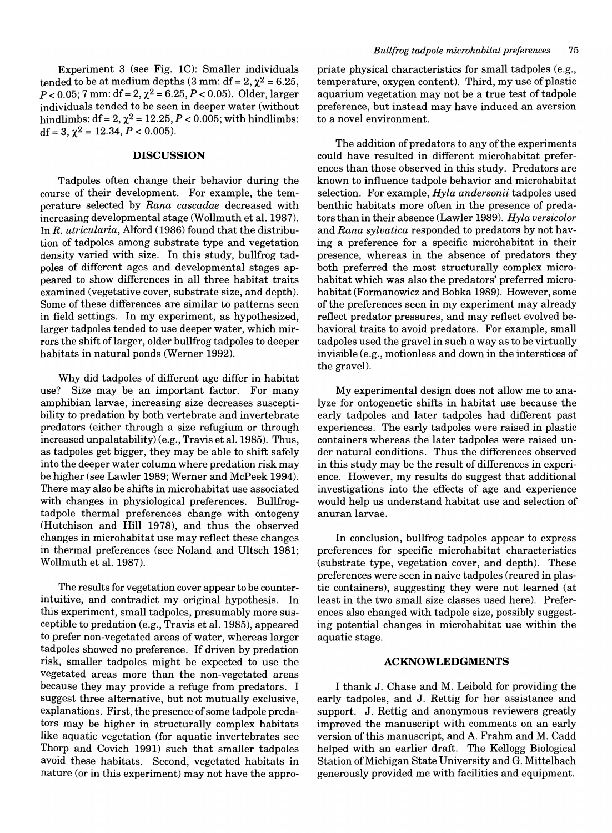Experiment 3 (see Fig. lC): Smaller individuals tended to be at medium depths  $(3 \text{ mm}: df = 2, \chi^2 = 6.25,$  $P < 0.05$ ; 7 mm: df = 2,  $\chi^2$  = 6.25, *P* < 0.05). Older, larger individuals tended to be seen in deeper water (without hindlimbs:  $df = 2$ ,  $\chi^2 = 12.25$ ,  $P < 0.005$ ; with hindlimbs: df = 3,  $\chi^2$  = 12.34,  $P < 0.005$ ).

#### **DISCUSSION**

Tadpoles often change their behavior during the course of their development. For example, the temperature selected by *Rana cascadae* decreased with increasing developmental stage (Wollmuth et al. 1987). In *R. utricularia,* Alford (1986) found that the distribution of tadpoles among substrate type and vegetation density varied with size. In this study, bullfrog tadpoles of different ages and developmental stages appeared to show differences in all three habitat traits examined (vegetative cover, substrate size, and depth). Some of these differences are similar to patterns seen in field settings. In my experiment, as hypothesized, larger tadpoles tended to use deeper water, which mirrors the shift of larger, older bullfrog tadpoles to deeper habitats in natural ponds (Werner 1992).

Why did tadpoles of different age differ in habitat use? Size may be an important factor. For many amphibian larvae, increasing size decreases susceptibility to predation by both vertebrate and invertebrate predators (either through a size refugium or through increased unpalatability) (e.g., Travis et al. 1985). Thus, as tadpoles get bigger, they may be able to shift safely into the deeper water column where predation risk may be higher (see Lawler 1989; Werner and McPeek 1994). There may also be shifts in microhabitat use associated with changes in physiological preferences. Bullfrogtadpole thermal preferences change with ontogeny (Hutchison and **Hill** 1978), and thus the observed changes in microhabitat use may reflect these changes in thermal preferences (see Noland and Ultsch 1981; Wollmuth et al. 1987).

The results for vegetation cover appear to be counterintuitive, and contradict my original hypothesis. In this experiment, small tadpoles, presumably more susceptible to predation (e.g., Travis et al. 1985), appeared to prefer non-vegetated areas of water, whereas larger tadpoles showed no preference. If driven by predation risk, smaller tadpoles might be expected to use the vegetated areas more than the non-vegetated areas because they may provide a refuge from predators. I suggest three alternative, but not mutually exclusive, explanations. First, the presence of some tadpole predators may be higher in structurally complex habitats like aquatic vegetation (for aquatic invertebrates see Thorp and Covich 1991) such that smaller tadpoles avoid these habitats. Second, vegetated habitats in nature (or in this experiment) may not have the appropriate physical characteristics for small tadpoles (e.g., temperature, oxygen content). Third, my use of plastic aquarium vegetation may not be a true test of tadpole preference, but instead may have induced an aversion to a novel environment.

The addition of predators to any of the experiments could have resulted in different microhabitat preferences than those observed in this study. Predators are known to influence tadpole behavior and microhabitat selection. For example, *Hyla andersonii* tadpoles used benthic habitats more often in the presence of predators than in their absence (Lawler 1989). *Hyla versicolor*  and *Rana sylvatica* responded to predators by not having a preference for a specific microhabitat in their presence, whereas in the absence of predators they both preferred the most structurally complex microhabitat which was also the predators' preferred microhabitat (Formanowicz and Bobka 1989). However, some of the preferences seen in my experiment may already reflect predator pressures, and may reflect evolved behavioral traits to avoid predators. For example, small tadpoles used the gravel in such a way as to be virtually invisible (e.g., motionless and down in the interstices of the gravel).

My experimental design does not allow me to analyze for ontogenetic shifts in habitat use because the early tadpoles and later tadpoles had different past experiences. The early tadpoles were raised in plastic containers whereas the later tadpoles were raised under natural conditions. Thus the differences observed in this study may be the result of differences in experience. However, my results do suggest that additional investigations into the effects of age and experience would help us understand habitat use and selection of anuran larvae.

In conclusion, bullfrog tadpoles appear to express preferences for specific microhabitat characteristics (substrate type, vegetation cover, and depth). These preferences were seen in naive tadpoles (reared in plastic containers), suggesting they were not learned (at least in the two small size classes used here). Preferences also changed with tadpole size, possibly suggesting potential changes in microhabitat use within the aquatic stage.

## **ACKNOWLEDGMENTS**

I thank J. Chase and M. Leibold for providing the early tadpoles, and J. Rettig for her assistance and support. J. Rettig and anonymous reviewers greatly improved the manuscript with comments on an early version of this manuscript, and A. Frahm and M. Cadd helped with an earlier draft. The Kellogg Biological Station of Michigan State University and G. Mittelbach generously provided me with facilities and equipment.